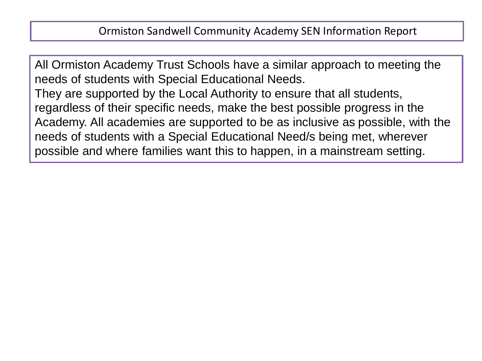All Ormiston Academy Trust Schools have a similar approach to meeting the needs of students with Special Educational Needs.

They are supported by the Local Authority to ensure that all students, regardless of their specific needs, make the best possible progress in the Academy. All academies are supported to be as inclusive as possible, with the needs of students with a Special Educational Need/s being met, wherever possible and where families want this to happen, in a mainstream setting.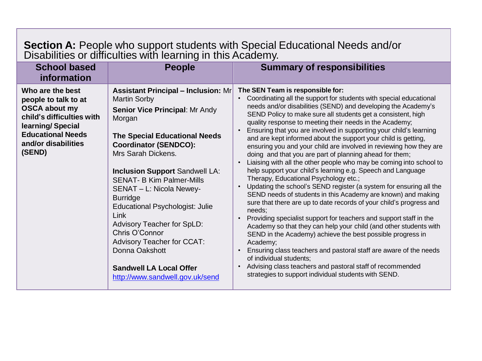## **Section A:** People who support students with Special Educational Needs and/or Disabilities or difficulties with learning in this Academy.

| <b>School based</b><br>information                                                                                                                                             | <b>People</b>                                                                                                                                                                                                                                                                                                                                                                                                                                                                                                                                                  | <b>Summary of responsibilities</b>                                                                                                                                                                                                                                                                                                                                                                                                                                                                                                                                                                                                                                                                                                                                                                                                                                                                                                                                                                                                                                                                                                                                                                                                                                                                                                                                                                                                                                                                                     |
|--------------------------------------------------------------------------------------------------------------------------------------------------------------------------------|----------------------------------------------------------------------------------------------------------------------------------------------------------------------------------------------------------------------------------------------------------------------------------------------------------------------------------------------------------------------------------------------------------------------------------------------------------------------------------------------------------------------------------------------------------------|------------------------------------------------------------------------------------------------------------------------------------------------------------------------------------------------------------------------------------------------------------------------------------------------------------------------------------------------------------------------------------------------------------------------------------------------------------------------------------------------------------------------------------------------------------------------------------------------------------------------------------------------------------------------------------------------------------------------------------------------------------------------------------------------------------------------------------------------------------------------------------------------------------------------------------------------------------------------------------------------------------------------------------------------------------------------------------------------------------------------------------------------------------------------------------------------------------------------------------------------------------------------------------------------------------------------------------------------------------------------------------------------------------------------------------------------------------------------------------------------------------------------|
| Who are the best<br>people to talk to at<br><b>OSCA about my</b><br>child's difficulties with<br>learning/Special<br><b>Educational Needs</b><br>and/or disabilities<br>(SEND) | <b>Assistant Principal – Inclusion: Mr</b><br><b>Martin Sorby</b><br>Senior Vice Principal: Mr Andy<br>Morgan<br><b>The Special Educational Needs</b><br><b>Coordinator (SENDCO):</b><br>Mrs Sarah Dickens.<br><b>Inclusion Support Sandwell LA:</b><br><b>SENAT- B Kim Palmer-Mills</b><br>SENAT - L: Nicola Newey-<br><b>Burridge</b><br>Educational Psychologist: Julie<br>Link<br>Advisory Teacher for SpLD:<br>Chris O'Connor<br><b>Advisory Teacher for CCAT:</b><br>Donna Oakshott<br><b>Sandwell LA Local Offer</b><br>http://www.sandwell.gov.uk/send | The SEN Team is responsible for:<br>Coordinating all the support for students with special educational<br>$\bullet$<br>needs and/or disabilities (SEND) and developing the Academy's<br>SEND Policy to make sure all students get a consistent, high<br>quality response to meeting their needs in the Academy;<br>Ensuring that you are involved in supporting your child's learning<br>$\bullet$<br>and are kept informed about the support your child is getting,<br>ensuring you and your child are involved in reviewing how they are<br>doing and that you are part of planning ahead for them;<br>Liaising with all the other people who may be coming into school to<br>$\bullet$<br>help support your child's learning e.g. Speech and Language<br>Therapy, Educational Psychology etc.;<br>Updating the school's SEND register (a system for ensuring all the<br>$\bullet$<br>SEND needs of students in this Academy are known) and making<br>sure that there are up to date records of your child's progress and<br>needs;<br>Providing specialist support for teachers and support staff in the<br>$\bullet$<br>Academy so that they can help your child (and other students with<br>SEND in the Academy) achieve the best possible progress in<br>Academy;<br>Ensuring class teachers and pastoral staff are aware of the needs<br>$\bullet$<br>of individual students;<br>Advising class teachers and pastoral staff of recommended<br>$\bullet$<br>strategies to support individual students with SEND. |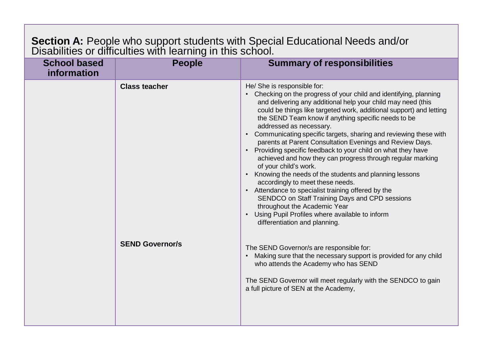## **Section A:** People who support students with Special Educational Needs and/or Disabilities or difficulties with learning in this school.

| <b>School based</b><br>information | <b>People</b>                                  | <b>Summary of responsibilities</b>                                                                                                                                                                                                                                                                                                                                                                                                                                                                                                                                                                                                                                                                                                                                                                                                                                                                                                                                                                                                                                                                                                                                                                      |
|------------------------------------|------------------------------------------------|---------------------------------------------------------------------------------------------------------------------------------------------------------------------------------------------------------------------------------------------------------------------------------------------------------------------------------------------------------------------------------------------------------------------------------------------------------------------------------------------------------------------------------------------------------------------------------------------------------------------------------------------------------------------------------------------------------------------------------------------------------------------------------------------------------------------------------------------------------------------------------------------------------------------------------------------------------------------------------------------------------------------------------------------------------------------------------------------------------------------------------------------------------------------------------------------------------|
|                                    | <b>Class teacher</b><br><b>SEND Governor/s</b> | He/ She is responsible for:<br>Checking on the progress of your child and identifying, planning<br>and delivering any additional help your child may need (this<br>could be things like targeted work, additional support) and letting<br>the SEND Team know if anything specific needs to be<br>addressed as necessary.<br>Communicating specific targets, sharing and reviewing these with<br>parents at Parent Consultation Evenings and Review Days.<br>Providing specific feedback to your child on what they have<br>achieved and how they can progress through regular marking<br>of your child's work.<br>Knowing the needs of the students and planning lessons<br>accordingly to meet these needs.<br>Attendance to specialist training offered by the<br>SENDCO on Staff Training Days and CPD sessions<br>throughout the Academic Year<br>Using Pupil Profiles where available to inform<br>differentiation and planning.<br>The SEND Governor/s are responsible for:<br>Making sure that the necessary support is provided for any child<br>who attends the Academy who has SEND<br>The SEND Governor will meet regularly with the SENDCO to gain<br>a full picture of SEN at the Academy, |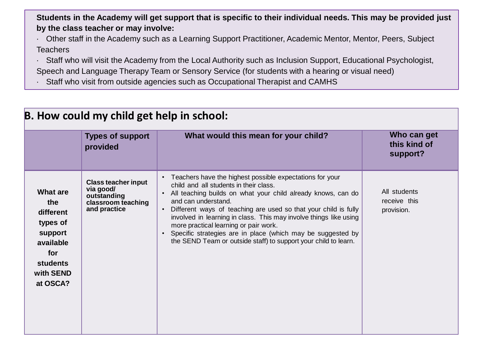Students in the Academy will get support that is specific to their individual needs. This may be provided just **by the class teacher or may involve:**

- · Other staff in the Academy such as a Learning Support Practitioner, Academic Mentor, Mentor, Peers, Subject **Teachers**
- · Staff who will visit the Academy from the Local Authority such as Inclusion Support, Educational Psychologist, Speech and Language Therapy Team or Sensory Service (for students with a hearing or visual need)
- · Staff who visit from outside agencies such as Occupational Therapist and CAMHS

| B. How could my child get help in school:                                                                           |                                                                                              |                                                                                                                                                                                                                                                                                                                                                                                                                                                                                                                             |                                            |
|---------------------------------------------------------------------------------------------------------------------|----------------------------------------------------------------------------------------------|-----------------------------------------------------------------------------------------------------------------------------------------------------------------------------------------------------------------------------------------------------------------------------------------------------------------------------------------------------------------------------------------------------------------------------------------------------------------------------------------------------------------------------|--------------------------------------------|
|                                                                                                                     | <b>Types of support</b><br>provided                                                          | What would this mean for your child?                                                                                                                                                                                                                                                                                                                                                                                                                                                                                        | Who can get<br>this kind of<br>support?    |
| What are<br>the<br>different<br>types of<br>support<br>available<br>for<br><b>students</b><br>with SEND<br>at OSCA? | <b>Class teacher input</b><br>via good/<br>outstanding<br>classroom teaching<br>and practice | • Teachers have the highest possible expectations for your<br>child and all students in their class.<br>All teaching builds on what your child already knows, can do<br>and can understand.<br>Different ways of teaching are used so that your child is fully<br>involved in learning in class. This may involve things like using<br>more practical learning or pair work.<br>Specific strategies are in place (which may be suggested by<br>$\bullet$<br>the SEND Team or outside staff) to support your child to learn. | All students<br>receive this<br>provision. |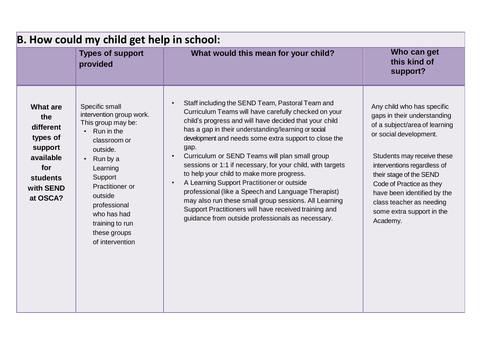|                                                                                                                                         | <b>Types of support</b><br>provided                                                                                                                                                                                                                              | What would this mean for your child?                                                                                                                                                                                                                                                                                                                                                                                                                                                                                                                                                                                                                                                                                                | Who can get<br>this kind of<br>support?                                                                                                                                                                                                                                                                                                      |
|-----------------------------------------------------------------------------------------------------------------------------------------|------------------------------------------------------------------------------------------------------------------------------------------------------------------------------------------------------------------------------------------------------------------|-------------------------------------------------------------------------------------------------------------------------------------------------------------------------------------------------------------------------------------------------------------------------------------------------------------------------------------------------------------------------------------------------------------------------------------------------------------------------------------------------------------------------------------------------------------------------------------------------------------------------------------------------------------------------------------------------------------------------------------|----------------------------------------------------------------------------------------------------------------------------------------------------------------------------------------------------------------------------------------------------------------------------------------------------------------------------------------------|
| <b>What are</b><br>the<br>different<br>types of<br>support<br>available<br>$\bullet$<br>for<br><b>students</b><br>with SEND<br>at OSCA? | Specific small<br>intervention group work.<br>This group may be:<br>Run in the<br>classroom or<br>outside.<br>Run by a<br>Learning<br>Support<br>Practitioner or<br>outside<br>professional<br>who has had<br>training to run<br>these groups<br>of intervention | Staff including the SEND Team, Pastoral Team and<br>Curriculum Teams will have carefully checked on your<br>child's progress and will have decided that your child<br>has a gap in their understanding/learning or social<br>development and needs some extra support to close the<br>gap.<br>Curriculum or SEND Teams will plan small group<br>sessions or 1:1 if necessary, for your child, with targets<br>to help your child to make more progress.<br>A Learning Support Practitioner or outside<br>professional (like a Speech and Language Therapist)<br>may also run these small group sessions. All Learning<br>Support Practitioners will have received training and<br>guidance from outside professionals as necessary. | Any child who has specific<br>gaps in their understanding<br>of a subject/area of learning<br>or social development.<br>Students may receive these<br>interventions regardless of<br>their stage of the SEND<br>Code of Practice as they<br>have been identified by the<br>class teacher as needing<br>some extra support in the<br>Academy. |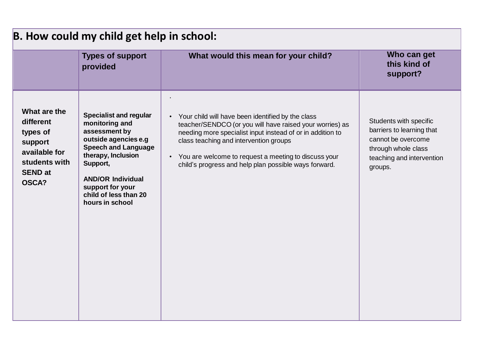| <b>Types of support</b><br>provided                                                                                                                                                                                                                                                                                                                                          | What would this mean for your child?                                                                                                                                                                                                                                                                                                     | Who can get<br>this kind of<br>support?                                                                                                  |
|------------------------------------------------------------------------------------------------------------------------------------------------------------------------------------------------------------------------------------------------------------------------------------------------------------------------------------------------------------------------------|------------------------------------------------------------------------------------------------------------------------------------------------------------------------------------------------------------------------------------------------------------------------------------------------------------------------------------------|------------------------------------------------------------------------------------------------------------------------------------------|
| What are the<br><b>Specialist and regular</b><br>different<br>monitoring and<br>assessment by<br>types of<br>outside agencies e.g<br>support<br><b>Speech and Language</b><br>available for<br>therapy, Inclusion<br>students with<br>Support,<br><b>SEND at</b><br><b>AND/OR Individual</b><br><b>OSCA?</b><br>support for your<br>child of less than 20<br>hours in school | Your child will have been identified by the class<br>teacher/SENDCO (or you will have raised your worries) as<br>needing more specialist input instead of or in addition to<br>class teaching and intervention groups<br>• You are welcome to request a meeting to discuss your<br>child's progress and help plan possible ways forward. | Students with specific<br>barriers to learning that<br>cannot be overcome<br>through whole class<br>teaching and intervention<br>groups. |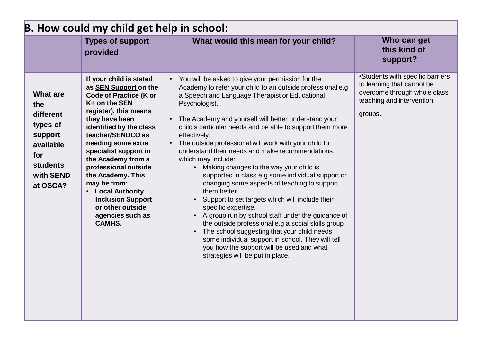| B. How could my child get help in school:                                                                           |                                                                                                                                                                                                                                                                                                                                                                                                                                                         |                                                                                                                                                                                                                                                                                                                                                                                                                                                                                                                                                                                                                                                                                                                                                                                                                                                                                                                                                                                                                                   |                                                                                                                                        |
|---------------------------------------------------------------------------------------------------------------------|---------------------------------------------------------------------------------------------------------------------------------------------------------------------------------------------------------------------------------------------------------------------------------------------------------------------------------------------------------------------------------------------------------------------------------------------------------|-----------------------------------------------------------------------------------------------------------------------------------------------------------------------------------------------------------------------------------------------------------------------------------------------------------------------------------------------------------------------------------------------------------------------------------------------------------------------------------------------------------------------------------------------------------------------------------------------------------------------------------------------------------------------------------------------------------------------------------------------------------------------------------------------------------------------------------------------------------------------------------------------------------------------------------------------------------------------------------------------------------------------------------|----------------------------------------------------------------------------------------------------------------------------------------|
|                                                                                                                     | <b>Types of support</b><br>provided                                                                                                                                                                                                                                                                                                                                                                                                                     | What would this mean for your child?                                                                                                                                                                                                                                                                                                                                                                                                                                                                                                                                                                                                                                                                                                                                                                                                                                                                                                                                                                                              | Who can get<br>this kind of<br>support?                                                                                                |
| <b>What are</b><br>the<br>different<br>types of<br>support<br>available<br>for<br>students<br>with SEND<br>at OSCA? | If your child is stated<br>as <b>SEN Support</b> on the<br><b>Code of Practice (K or</b><br>$K+$ on the SEN<br>register), this means<br>they have been<br>identified by the class<br>teacher/SENDCO as<br>needing some extra<br>specialist support in<br>the Academy from a<br>professional outside<br>the Academy. This<br>may be from:<br><b>Local Authority</b><br><b>Inclusion Support</b><br>or other outside<br>agencies such as<br><b>CAMHS.</b> | • You will be asked to give your permission for the<br>Academy to refer your child to an outside professional e.g<br>a Speech and Language Therapist or Educational<br>Psychologist.<br>The Academy and yourself will better understand your<br>$\bullet$<br>child's particular needs and be able to support them more<br>effectively.<br>The outside professional will work with your child to<br>$\bullet$<br>understand their needs and make recommendations,<br>which may include:<br>Making changes to the way your child is<br>supported in class e.g some individual support or<br>changing some aspects of teaching to support<br>them better<br>Support to set targets which will include their<br>specific expertise.<br>• A group run by school staff under the guidance of<br>the outside professional e.g a social skills group<br>The school suggesting that your child needs<br>some individual support in school. They will tell<br>you how the support will be used and what<br>strategies will be put in place. | •Students with specific barriers<br>to learning that cannot be<br>overcome through whole class<br>teaching and intervention<br>groups. |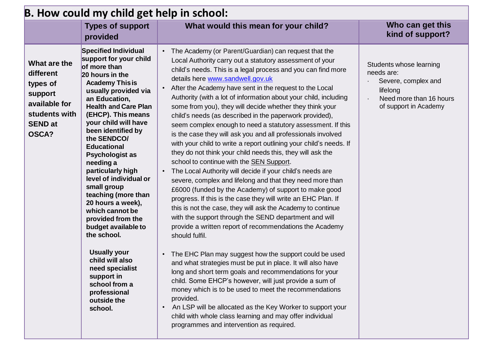| B. How could my child get help in school:                                                                     |                                                                                                                                                                                                                                                                                                                                                                                                                                                                                                                                                                                                                                                                          |                                                                                                                                                                                                                                                                                                                                                                                                                                                                                                                                                                                                                                                                                                                                                                                                                                                                                                                                                                                                                                                                                                                                                                                                                                                                                                                                                                                                                                                                                                                                                                                                                                                                                                                                                           |                                                                                                                              |
|---------------------------------------------------------------------------------------------------------------|--------------------------------------------------------------------------------------------------------------------------------------------------------------------------------------------------------------------------------------------------------------------------------------------------------------------------------------------------------------------------------------------------------------------------------------------------------------------------------------------------------------------------------------------------------------------------------------------------------------------------------------------------------------------------|-----------------------------------------------------------------------------------------------------------------------------------------------------------------------------------------------------------------------------------------------------------------------------------------------------------------------------------------------------------------------------------------------------------------------------------------------------------------------------------------------------------------------------------------------------------------------------------------------------------------------------------------------------------------------------------------------------------------------------------------------------------------------------------------------------------------------------------------------------------------------------------------------------------------------------------------------------------------------------------------------------------------------------------------------------------------------------------------------------------------------------------------------------------------------------------------------------------------------------------------------------------------------------------------------------------------------------------------------------------------------------------------------------------------------------------------------------------------------------------------------------------------------------------------------------------------------------------------------------------------------------------------------------------------------------------------------------------------------------------------------------------|------------------------------------------------------------------------------------------------------------------------------|
|                                                                                                               | <b>Types of support</b><br>provided                                                                                                                                                                                                                                                                                                                                                                                                                                                                                                                                                                                                                                      | What would this mean for your child?                                                                                                                                                                                                                                                                                                                                                                                                                                                                                                                                                                                                                                                                                                                                                                                                                                                                                                                                                                                                                                                                                                                                                                                                                                                                                                                                                                                                                                                                                                                                                                                                                                                                                                                      | Who can get this<br>kind of support?                                                                                         |
| What are the<br>different<br>types of<br>support<br>available for<br>students with<br><b>SEND at</b><br>OSCA? | <b>Specified Individual</b><br>support for your child<br>of more than<br>20 hours in the<br><b>Academy This is</b><br>usually provided via<br>an Education,<br><b>Health and Care Plan</b><br>(EHCP). This means<br>your child will have<br>been identified by<br>the SENDCO/<br><b>Educational</b><br><b>Psychologist as</b><br>needing a<br>particularly high<br>level of individual or<br>small group<br>teaching (more than<br>20 hours a week),<br>which cannot be<br>provided from the<br>budget available to<br>the school.<br><b>Usually your</b><br>child will also<br>need specialist<br>support in<br>school from a<br>professional<br>outside the<br>school. | The Academy (or Parent/Guardian) can request that the<br>Local Authority carry out a statutory assessment of your<br>child's needs. This is a legal process and you can find more<br>details here www.sandwell.gov.uk<br>After the Academy have sent in the request to the Local<br>Authority (with a lot of information about your child, including<br>some from you), they will decide whether they think your<br>child's needs (as described in the paperwork provided),<br>seem complex enough to need a statutory assessment. If this<br>is the case they will ask you and all professionals involved<br>with your child to write a report outlining your child's needs. If<br>they do not think your child needs this, they will ask the<br>school to continue with the SEN Support.<br>The Local Authority will decide if your child's needs are<br>severe, complex and lifelong and that they need more than<br>£6000 (funded by the Academy) of support to make good<br>progress. If this is the case they will write an EHC Plan. If<br>this is not the case, they will ask the Academy to continue<br>with the support through the SEND department and will<br>provide a written report of recommendations the Academy<br>should fulfil.<br>The EHC Plan may suggest how the support could be used<br>and what strategies must be put in place. It will also have<br>long and short term goals and recommendations for your<br>child. Some EHCP's however, will just provide a sum of<br>money which is to be used to meet the recommendations<br>provided.<br>An LSP will be allocated as the Key Worker to support your<br>$\bullet$<br>child with whole class learning and may offer individual<br>programmes and intervention as required. | Students whose learning<br>needs are:<br>Severe, complex and<br>lifelong<br>Need more than 16 hours<br>of support in Academy |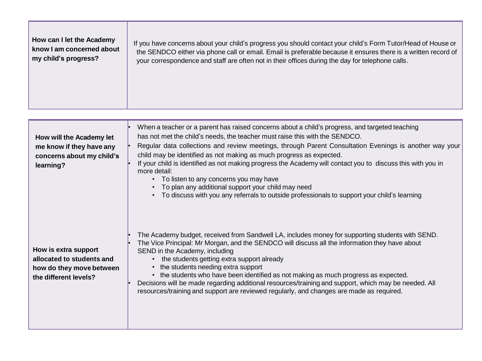| How can I let the Academy | If you have concerns about your child's progress you should contact your child's Form Tutor/Head of House or   |
|---------------------------|----------------------------------------------------------------------------------------------------------------|
| know I am concerned about | the SENDCO either via phone call or email. Email is preferable because it ensures there is a written record of |
| my child's progress?      | your correspondence and staff are often not in their offices during the day for telephone calls.               |
|                           |                                                                                                                |

| How will the Academy let<br>me know if they have any<br>concerns about my child's<br>learning?         | When a teacher or a parent has raised concerns about a child's progress, and targeted teaching<br>has not met the child's needs, the teacher must raise this with the SENDCO.<br>Regular data collections and review meetings, through Parent Consultation Evenings is another way your<br>child may be identified as not making as much progress as expected.<br>If your child is identified as not making progress the Academy will contact you to discuss this with you in<br>more detail:<br>• To listen to any concerns you may have<br>To plan any additional support your child may need<br>• To discuss with you any referrals to outside professionals to support your child's learning |
|--------------------------------------------------------------------------------------------------------|--------------------------------------------------------------------------------------------------------------------------------------------------------------------------------------------------------------------------------------------------------------------------------------------------------------------------------------------------------------------------------------------------------------------------------------------------------------------------------------------------------------------------------------------------------------------------------------------------------------------------------------------------------------------------------------------------|
| How is extra support<br>allocated to students and<br>how do they move between<br>the different levels? | The Academy budget, received from Sandwell LA, includes money for supporting students with SEND.<br>The Vice Principal: Mr Morgan, and the SENDCO will discuss all the information they have about<br>SEND in the Academy, including<br>• the students getting extra support already<br>the students needing extra support<br>• the students who have been identified as not making as much progress as expected.<br>Decisions will be made regarding additional resources/training and support, which may be needed. All<br>resources/training and support are reviewed regularly, and changes are made as required.                                                                            |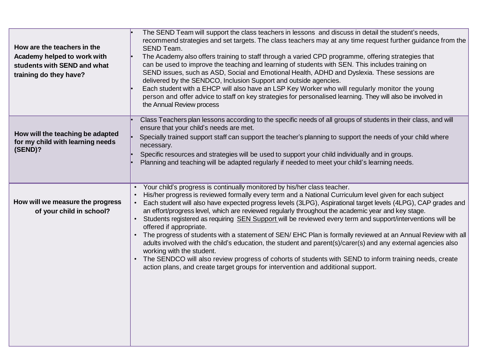| How are the teachers in the<br>Academy helped to work with<br>students with SEND and what<br>training do they have? | The SEND Team will support the class teachers in lessons and discuss in detail the student's needs,<br>recommend strategies and set targets. The class teachers may at any time request further guidance from the<br>SEND Team.<br>The Academy also offers training to staff through a varied CPD programme, offering strategies that<br>can be used to improve the teaching and learning of students with SEN. This includes training on<br>SEND issues, such as ASD, Social and Emotional Health, ADHD and Dyslexia. These sessions are<br>delivered by the SENDCO, Inclusion Support and outside agencies.<br>Each student with a EHCP will also have an LSP Key Worker who will regularly monitor the young<br>person and offer advice to staff on key strategies for personalised learning. They will also be involved in<br>the Annual Review process                                                                                                                                                                                |
|---------------------------------------------------------------------------------------------------------------------|--------------------------------------------------------------------------------------------------------------------------------------------------------------------------------------------------------------------------------------------------------------------------------------------------------------------------------------------------------------------------------------------------------------------------------------------------------------------------------------------------------------------------------------------------------------------------------------------------------------------------------------------------------------------------------------------------------------------------------------------------------------------------------------------------------------------------------------------------------------------------------------------------------------------------------------------------------------------------------------------------------------------------------------------|
| How will the teaching be adapted<br>for my child with learning needs<br>(SEND)?                                     | Class Teachers plan lessons according to the specific needs of all groups of students in their class, and will<br>ensure that your child's needs are met.<br>Specially trained support staff can support the teacher's planning to support the needs of your child where<br>necessary.<br>Specific resources and strategies will be used to support your child individually and in groups.<br>Planning and teaching will be adapted regularly if needed to meet your child's learning needs.                                                                                                                                                                                                                                                                                                                                                                                                                                                                                                                                               |
| How will we measure the progress<br>of your child in school?                                                        | Your child's progress is continually monitored by his/her class teacher.<br>His/her progress is reviewed formally every term and a National Curriculum level given for each subject<br>$\bullet$<br>Each student will also have expected progress levels (3LPG), Aspirational target levels (4LPG), CAP grades and<br>$\bullet$<br>an effort/progress level, which are reviewed regularly throughout the academic year and key stage.<br>Students registered as requiring SEN Support will be reviewed every term and support/interventions will be<br>offered if appropriate.<br>The progress of students with a statement of SEN/EHC Plan is formally reviewed at an Annual Review with all<br>adults involved with the child's education, the student and parent(s)/carer(s) and any external agencies also<br>working with the student.<br>• The SENDCO will also review progress of cohorts of students with SEND to inform training needs, create<br>action plans, and create target groups for intervention and additional support. |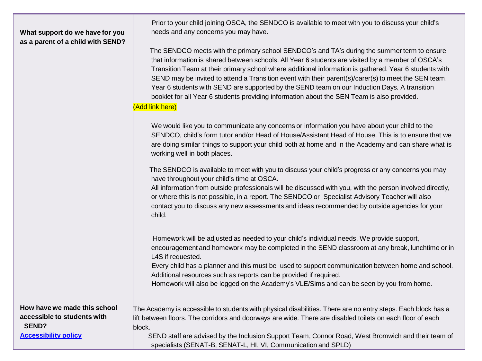## **What support do we have for you as a parent of a child with SEND?**

 Prior to your child joining OSCA, the SENDCO is available to meet with you to discuss your child's needs and any concerns you may have.

 The SENDCO meets with the primary school SENDCO's and TA's during the summer term to ensure that information is shared between schools. All Year 6 students are visited by a member of OSCA's Transition Team at their primary school where additional information is gathered. Year 6 students with SEND may be invited to attend a Transition event with their parent(s)/carer(s) to meet the SEN team. Year 6 students with SEND are supported by the SEND team on our Induction Days. A transition booklet for all Year 6 students providing information about the SEN Team is also provided.

## (Add link here)

 We would like you to communicate any concerns or information you have about your child to the SENDCO, child's form tutor and/or Head of House/Assistant Head of House. This is to ensure that we are doing similar things to support your child both at home and in the Academy and can share what is working well in both places.

 The SENDCO is available to meet with you to discuss your child's progress or any concerns you may have throughout your child's time at OSCA.

All information from outside professionals will be discussed with you, with the person involved directly, or where this is not possible, in a report. The SENDCO or Specialist Advisory Teacher will also contact you to discuss any new assessments and ideas recommended by outside agencies for your child.

 Homework will be adjusted as needed to your child's individual needs. We provide support, encouragement and homework may be completed in the SEND classroom at any break, lunchtime or in L4S if requested.

 Every child has a planner and this must be used to support communication between home and school. Additional resources such as reports can be provided if required.

Homework will also be logged on the Academy's VLE/Sims and can be seen by you from home.

**How have we made this school accessible to students with SEND? [Accessibility](http://www.ormistonsandwell.org.uk/docs/Accessibility_Plan_-_2.pdf) policy**

The Academy is accessible to students with physical disabilities. There are no entry steps. Each block has a lift between floors. The corridors and doorways are wide. There are disabled toilets on each floor of each block.

 SEND staff are advised by the Inclusion Support Team, Connor Road, West Bromwich and their team of specialists (SENAT-B, SENAT-L, HI, VI, Communication and SPLD)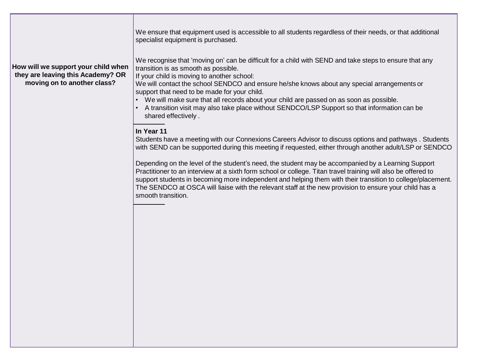|                                                                                                         | We ensure that equipment used is accessible to all students regardless of their needs, or that additional<br>specialist equipment is purchased.                                                                                                                                                                                                                                                                                                                                                                                                                  |
|---------------------------------------------------------------------------------------------------------|------------------------------------------------------------------------------------------------------------------------------------------------------------------------------------------------------------------------------------------------------------------------------------------------------------------------------------------------------------------------------------------------------------------------------------------------------------------------------------------------------------------------------------------------------------------|
| How will we support your child when<br>they are leaving this Academy? OR<br>moving on to another class? | We recognise that 'moving on' can be difficult for a child with SEND and take steps to ensure that any<br>transition is as smooth as possible.<br>If your child is moving to another school:<br>We will contact the school SENDCO and ensure he/she knows about any special arrangements or<br>support that need to be made for your child.<br>• We will make sure that all records about your child are passed on as soon as possible.<br>• A transition visit may also take place without SENDCO/LSP Support so that information can be<br>shared effectively. |
|                                                                                                         | In Year 11<br>Students have a meeting with our Connexions Careers Advisor to discuss options and pathways. Students<br>with SEND can be supported during this meeting if requested, either through another adult/LSP or SENDCO                                                                                                                                                                                                                                                                                                                                   |
|                                                                                                         | Depending on the level of the student's need, the student may be accompanied by a Learning Support<br>Practitioner to an interview at a sixth form school or college. Titan travel training will also be offered to<br>support students in becoming more independent and helping them with their transition to college/placement.<br>The SENDCO at OSCA will liaise with the relevant staff at the new provision to ensure your child has a<br>smooth transition.                                                                                                |
|                                                                                                         |                                                                                                                                                                                                                                                                                                                                                                                                                                                                                                                                                                  |
|                                                                                                         |                                                                                                                                                                                                                                                                                                                                                                                                                                                                                                                                                                  |
|                                                                                                         |                                                                                                                                                                                                                                                                                                                                                                                                                                                                                                                                                                  |
|                                                                                                         |                                                                                                                                                                                                                                                                                                                                                                                                                                                                                                                                                                  |